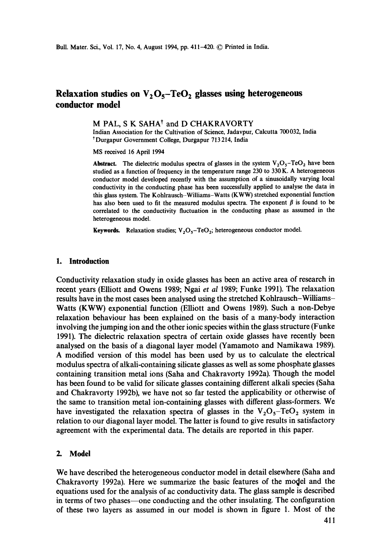# **Relaxation studies on**  $V_2O_5$ **-TeO<sub>2</sub> glasses using heterogeneous conductor model**

### M PAL, S K SAHA<sup>†</sup> and D CHAKRAVORTY

Indian Association for the Cultivation of Science, Jadavpur, Calcutta 700032, India tDurgapur Government College, Durgapur 713 214, India

MS received 16 April 1994

Abstract. The dielectric modulus spectra of glasses in the system  $V_2O_5$ -TeO<sub>2</sub> have been studied as a function of frequency in the temperature range 230 to 330 K. A heterogeneous conductor model developed recently with the assumption of a sinusoidally varying local conductivity in the conducting phase has been successfully applied to analyse the data in this glass system. The Kohlrausch-Williams-Watts (KWW) stretched exponential function has also been used to fit the measured modulus spectra. The exponent  $\beta$  is found to be correlated to the conductivity fluctuation in the conducting phase as assumed in the heterogeneous model.

**Keywords.** Relaxation studies;  $V_2O_5$ -TeO<sub>2</sub>; heterogeneous conductor model.

#### **1. Introduction**

Conductivity relaxation study in oxide glasses has been an active area of research in recent years (Elliott and Owens 1989; Ngai *et al* 1989; Funke 1991). The relaxation results have in the most cases been analysed using the stretched Kohlrausch-Williams-Watts (KWW) exponential function (Elliott and Owens 1989). Such a non-Debye relaxation behaviour has been explained on the basis of a many-body interaction involving the jumping ion and the other ionic species within the glass structure (Funke 1991). The dielectric relaxation spectra of certain oxide glasses have recently been analysed on the basis of a diagonal layer model (Yamamoto and Namikawa 1989). A modified version of this model has been used by us to calculate the electrical modulus spectra of alkali-containing silicate glasses as well as some phosphate glasses containing transition metal ions (Saha and Chakravorty 1992a). Though the model has been found to be valid for silicate glasses containing different alkali species (Saha and Chakravorty 1992b), we have not so far tested the applicability or otherwise of the same to transition metal ion-containing glasses with different glass-formers. We have investigated the relaxation spectra of glasses in the  $V_2O_5$ -TeO<sub>2</sub> system in relation to our diagonal layer model. The latter is found to give results in satisfactory agreement with the experimental data. The details are reported in this paper.

### 2. Model

We have described the heterogeneous conductor model in detail elsewhere (Saha and Chakravorty 1992a). Here we summarize the basic features of the model and the equations used for the analysis of ac conductivity data. The glass sample is described in terms of two phases--one conducting and the other insulating. The configuration of these two layers as assumed in our model is shown in figure 1. Most of the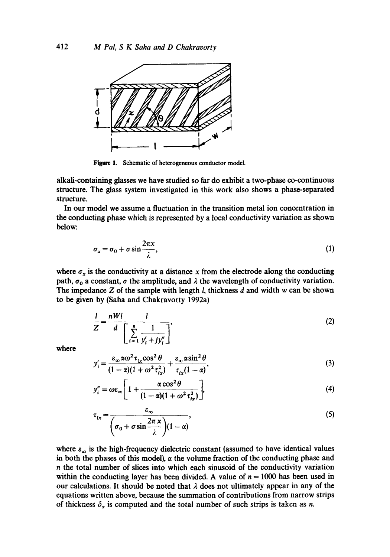

Figure 1. Schematic of heterogeneous conductor model.

alkah-eontaining glasses we have studied so far do exhibit a two-phase co-continuous structure. The glass system investigated in this work also shows a phase-separated structure.

In our model we assume a fluctuation in the transition metal ion concentration in the conducting phase which is represented by a local conductivity variation as shown below:

$$
\sigma_x = \sigma_0 + \sigma \sin \frac{2\pi x}{\lambda},\tag{1}
$$

where  $\sigma_x$  is the conductivity at a distance x from the electrode along the conducting path,  $\sigma_0$  a constant,  $\sigma$  the amplitude, and  $\lambda$  the wavelength of conductivity variation. The impedance  $Z$  of the sample with length  $l$ , thickness  $d$  and width  $w$  can be shown to be given by (Saha and Chakravorty 1992a)

$$
\frac{l}{Z} = \frac{nWl}{d} \frac{l}{\left[\sum_{i=1}^{n} \frac{1}{y'_i + jy''_i}\right]},
$$
\n(2)

where

$$
y_i' = \frac{\varepsilon_\infty \alpha \omega^2 \tau_{ix} \cos^2 \theta}{(1 - \alpha)(1 + \omega^2 \tau_{ix}^2)} + \frac{\varepsilon_\infty \alpha \sin^2 \theta}{\tau_{ix}(1 - \alpha)},
$$
(3)

$$
y_i'' = \omega \varepsilon_\infty \left[ 1 + \frac{\alpha \cos^2 \theta}{(1 - \alpha)(1 + \omega^2 \tau_{ix}^2)} \right],
$$
 (4)

$$
\tau_{ix} = \frac{\varepsilon_{\infty}}{\left(\sigma_0 + \sigma \sin \frac{2\pi x}{\lambda}\right)(1-\alpha)},
$$
\n(5)

where  $\varepsilon_{\infty}$  is the high-frequency dielectric constant (assumed to have identical values in both the phases of this model),  $\alpha$  the volume fraction of the conducting phase and n the total number of slices into which each sinusoid of the conductivity variation within the conducting layer has been divided. A value of  $n = 1000$  has been used in our calculations. It should be noted that  $\lambda$  does not ultimately appear in any of the equations written above, because the summation of contributions from narrow strips of thickness  $\delta_x$  is computed and the total number of such strips is taken as n.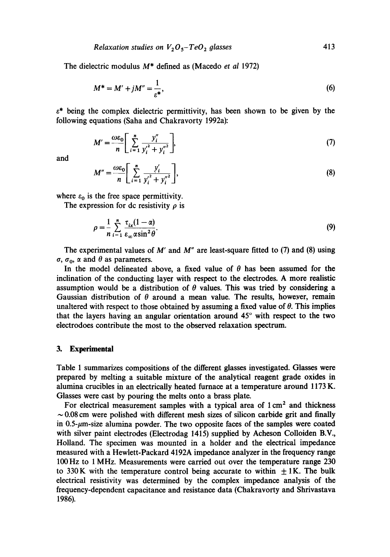#### *Relaxation studies on*  $V_2O_5 - TeO_2$  glasses 413

The dielectric modulus M\* defined as (Macedo *et al* 1972)

$$
M^* = M' + jM'' = \frac{1}{\varepsilon^*},
$$
 (6)

 $\varepsilon^*$  being the complex dielectric permittivity, has been shown to be given by the following equations (Saha and Chakravorty 1992a):

$$
M' = \frac{\omega \varepsilon_0}{n} \left[ \sum_{i=1}^{n} \frac{y_i''}{y_i'^2 + y_i''^2} \right],
$$
 (7)

and

$$
M'' = \frac{\omega \varepsilon_0}{n} \left[ \sum_{i=1}^{n} \frac{y_i'}{y_i'^2 + y_i''^2} \right],
$$
 (8)

where  $\varepsilon_0$  is the free space permittivity.

The expression for dc resistivity  $\rho$  is

$$
\rho = \frac{1}{n} \sum_{i=1}^{n} \frac{\tau_{ix}(1-\alpha)}{\varepsilon_{\infty} \alpha \sin^2 \theta}.
$$
\n(9)

The experimental values of M' and *M"* are least-square fitted to (7) and (8) using  $\sigma$ ,  $\sigma$ <sub>0</sub>,  $\alpha$  and  $\theta$  as parameters.

In the model delineated above, a fixed value of  $\theta$  has been assumed for the inclination of the conducting layer with respect to the electrodes. A more realistic assumption would be a distribution of  $\theta$  values. This was tried by considering a Gaussian distribution of  $\theta$  around a mean value. The results, however, remain unaltered with respect to those obtained by assuming a fixed value of  $\theta$ . This implies that the layers having an angular orientation around 45° with respect to the two electrodoes contribute the most to the observed relaxation spectrum.

## **3. Experimental**

Table 1 summarizes compositions of the different glasses investigated. Glasses were prepared by melting a suitable mixture of the analytical reagent grade oxides in alumina crucibles in an electrically heated furnace at a temperature around 1173 K. Glasses were cast by pouring the melts onto a brass plate.

For electrical measurement samples with a typical area of  $1 \text{ cm}^2$  and thickness  $\sim$  0.08 cm were polished with different mesh sizes of silicon carbide grit and finally in  $0.5$ - $\mu$ m-size alumina powder. The two opposite faces of the samples were coated with silver paint electrodes (Electrodag 1415) supplied by Acheson Colloiden B.V., Holland. The specimen was mounted in a holder and the electrical impedance measured with a Hewlett-Packard 4192A impedance analyzer in the frequency range 100Hz to 1 MHz. Measurements were carried out over the temperature range 230 to 330 K with the temperature control being accurate to within  $\pm 1$ K. The bulk electrical resistivity was determined by the complex impedance analysis of the frequency-dependent capacitance and resistance data (Chakravorty and Shrivastava 1986).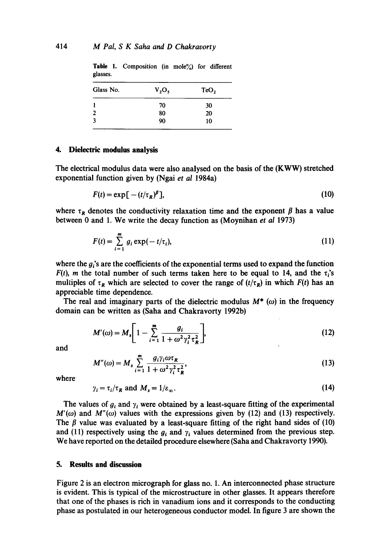| $V_2O_5$ | TeO <sub>2</sub> |
|----------|------------------|
| 70       | 30               |
| 80       | 20               |
| 90       | 10               |
|          |                  |

Table 1. Composition (in mole%) for different glasses.

# **4. Dielectric modulus analysis**

The electrical modulus data were also analysed on the basis of the (KWW) stretched exponential function given by (Ngai *et al* 1984a)

$$
F(t) = \exp\left[-\left(t/\tau_R\right)^{\beta}\right],\tag{10}
$$

where  $\tau_R$  denotes the conductivity relaxation time and the exponent  $\beta$  has a value between 0 and 1. We write the decay function as (Moynihan *et al* 1973)

$$
F(t) = \sum_{i=1}^{m} g_i \exp(-t/\tau_i), \qquad (11)
$$

where the  $g_i$ 's are the coefficients of the exponential terms used to expand the function  $F(t)$ , *m* the total number of such terms taken here to be equal to 14, and the  $\tau_i$ 's multiples of  $\tau_R$  which are selected to cover the range of  $(t/\tau_R)$  in which  $F(t)$  has an appreciable time dependence.

The real and imaginary parts of the dielectric modulus  $M^*$  ( $\omega$ ) in the frequency domain can be written as (Saha and Chakravorty 1992b)

$$
M'(\omega) = M_s \left[ 1 - \sum_{i=1}^{m} \frac{g_i}{1 + \omega^2 \gamma_i^2 \tau_R^2} \right],
$$
 (12)

and

$$
M''(\omega) = M_s \sum_{i=1}^m \frac{g_i \gamma_i \omega \tau_R}{1 + \omega^2 \gamma_i^2 \tau_R^2},
$$
\n(13)

where

$$
\gamma_i = \tau_i / \tau_R \text{ and } M_s = 1 / \varepsilon_\infty. \tag{14}
$$

The values of  $g_i$  and  $\gamma_i$  were obtained by a least-square fitting of the experimental  $M'(\omega)$  and  $M''(\omega)$  values with the expressions given by (12) and (13) respectively. The  $\beta$  value was evaluated by a least-square fitting of the right hand sides of (10) and (11) respectively using the  $g_i$  and  $\gamma_i$  values determined from the previous step. We have reported on the detailed procedure elsewhere (Saha and Chakravorty 1990).

# **5. Results and discussion**

Figure 2 is an electron micrograph for glass no. 1. An interconnected phase structure is evident. This is typical of the microstructure in other glasses. It appears therefore that one of the phases is rich in vanadium ions and it corresponds to the conducting phase as postulated in our heterogeneous conductor model. In figure 3 are shown the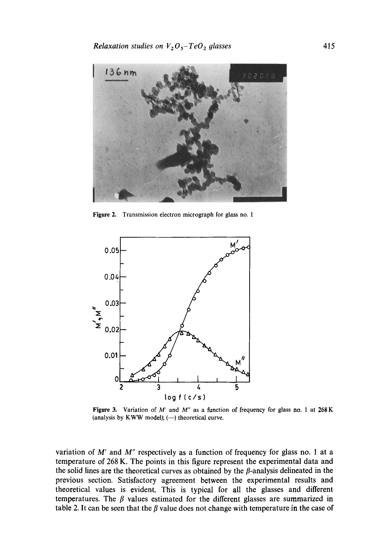

Figure 2. Transmission electron micrograph for glass no. 1



Figure 3. Variation of M' and *M"* as a function of frequency for glass no, 1 at 268 K (analysis by KWW model);  $(-)$  theoretical curve.

variation of  $M'$  and  $M''$  respectively as a function of frequency for glass no. 1 at a temperature of 268 K. The points in this figure represent the experimental data and the solid lines are the theoretical curves as obtained by the  $\beta$ -analysis delineated in the previous section. Satisfactory agreement between the experimental results and theoretical values is evident. This is typical for all the glasses and different temperatures. The  $\beta$  values estimated for the different glasses are summarized in table 2. It can be seen that the  $\beta$  value does not change with temperature in the case of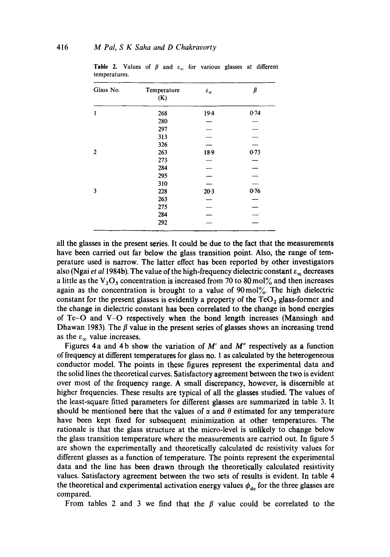| Glass No.      | Temperature<br>(K) | $\varepsilon_{\infty}$   | β        |
|----------------|--------------------|--------------------------|----------|
| 1              | 268                | $19-4$                   | 0.74     |
|                | 280                |                          |          |
|                | 297                |                          |          |
|                | 313                |                          | $\equiv$ |
|                | 326                |                          |          |
| $\overline{2}$ | 263                | $18-9$                   | 0.73     |
|                | 273                |                          |          |
|                | 284                |                          |          |
|                | 295                | $\overline{\phantom{0}}$ |          |
|                | 310                |                          |          |
| 3              | 228                | $20-3$                   | 0.76     |
|                | 263                |                          |          |
|                | 275                | $\overline{\phantom{a}}$ |          |
|                | 284                |                          |          |
|                | 292                |                          |          |

**Table 2.** Values of  $\beta$  and  $\varepsilon_{\infty}$  for various glasses at different temperatures.

all the glasses in the present series. It could be due to the fact that the measurements have been carried out far below the glass transition point. Also, the range of temperature used is narrow. The latter effect has been reported by other investigators also (Ngai *et al* 1984b). The value of the high-frequency dielectric constant  $\varepsilon_{\infty}$  decreases a little as the  $V_2O_5$  concentration is increased from 70 to 80 mol% and then increases again as the concentration is brought to a value of 90mo1%. The high dielectric constant for the present glasses is evidently a property of the  $TeO<sub>2</sub>$  glass-former and the change in dielectric constant has been correlated to the change in bond energies of Te-O and V-O respectively when the bond length increases (Mansingh and Dhawan 1983). The  $\beta$  value in the present series of glasses shows an increasing trend as the  $\varepsilon_{\infty}$  value increases.

Figures 4 a and 4 b show the variation of M' and *M"* respectively as a function of frequency at different temperatures for glass no. 1 as calculated by the heterogeneous conductor model. The points in these figures represent the experimental data and the solid lines the theoretical curves. Satisfactory agreement between the two is evident over most of the frequency range. A small discrepancy, however, is discernible at higher frequencies. These results are typical of all the glasses studied. The values of the least-square fitted parameters for different glasses are summarized in table 3. It should be mentioned here that the values of  $\alpha$  and  $\theta$  estimated for any temperature have been kept fixed for subsequent minimization at other temperatures. The rationale is that the glass structure at the micro-level is unlikely to change below the glass transition temperature where the measurements are carried out. In figure 5 are shown the experimentally and theoretically calculated dc resistivity values for different glasses as a function of temperature. The points represent the experimental data and the line has been drawn through the theoretically calculated resistivity values. Satisfactory agreement between the two sets of results is evident. In table 4 the theoretical and experimental activation energy values  $\phi_{dc}$  for the three glasses are compared.

From tables 2 and 3 we find that the  $\beta$  value could be correlated to the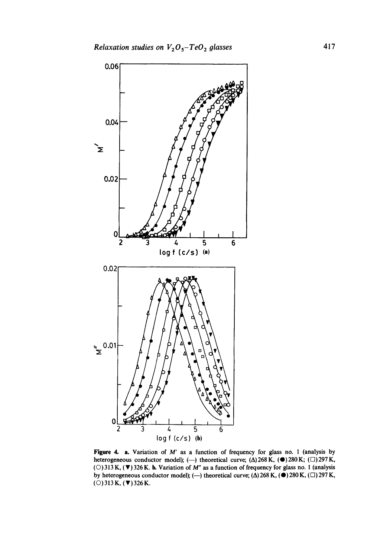

**Figure** 4. a. Variation of M' as a function of frequency for glass no. l (analysis by heterogeneous conductor model); (--) theoretical curve; ( $\Delta$ ) 268 K, ( $\bullet$ ) 280 K; ( $\Box$ ) 297 K, ( $\circ$ ) 313 K, ( $\nabla$ ) 326 K. **b.** Variation of *M"* as a function of frequency for glass no. 1 (analysis by heterogeneous conductor model); (--) theoretical curve; ( $\Delta$ ) 268 K, ( $\bigcirc$ ) 280 K, ( $\Box$ ) 297 K,  $(O) 313 K, (\Psi) 326 K.$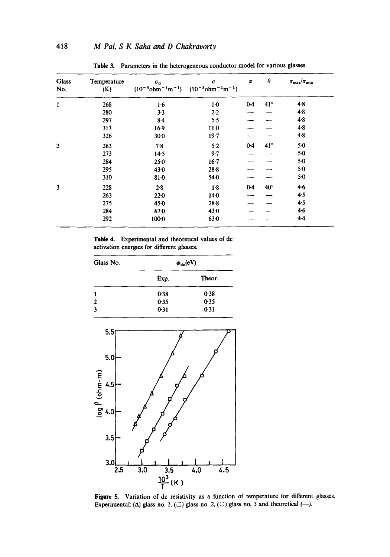| <b>Glass</b><br>No. | Temperature<br>(K) | $\sigma_0$<br>$(10^{-5}$ ohm <sup>-1</sup> m <sup>-1</sup> ) | $\pmb{\sigma}$<br>$(10^{-5}$ ohm <sup>-1</sup> m <sup>-1</sup> ) | $\alpha$ | $\theta$     | $\sigma_{\rm max}/\sigma_{\rm min}$ |
|---------------------|--------------------|--------------------------------------------------------------|------------------------------------------------------------------|----------|--------------|-------------------------------------|
| $\mathbf{1}$        | 268                | 16                                                           | $1-0$                                                            | $0 - 4$  | $41^{\circ}$ | $4 - 8$                             |
|                     | 280                | 3.3                                                          | $2-2$                                                            |          |              | 4.8                                 |
|                     | 297                | 8.4                                                          | 5.5                                                              |          |              | 4.8                                 |
|                     | 313                | $16-9$                                                       | 11 <sub>0</sub>                                                  |          |              | 4.8                                 |
|                     | 326                | 30 <sub>0</sub>                                              | $19 - 7$                                                         |          |              | 4.8                                 |
| $\overline{2}$      | 263                | 7.8                                                          | 5.2                                                              | $0 - 4$  | $41^\circ$   | 50                                  |
|                     | 273                | 14.5                                                         | $9 - 7$                                                          |          |              | $5-0$                               |
|                     | 284                | $25 - 0$                                                     | $16-7$                                                           |          |              | $5-0$                               |
|                     | 295                | 43.0                                                         | $28 - 8$                                                         |          |              | $5-0$                               |
|                     | 310                | $81-0$                                                       | $54-0$                                                           |          |              | $5-0$                               |
| 3                   | 228                | 2.8                                                          | $1-8$                                                            | $0-4$    | $40^\circ$   | 4.6                                 |
|                     | 263                | $22-0$                                                       | $14-0$                                                           |          |              | 4.5                                 |
|                     | 275                | 45.0                                                         | $28 - 8$                                                         |          |              | 4.5                                 |
|                     | 284                | $67-0$                                                       | 43.0                                                             |          |              | $4-6$                               |
|                     | 292                | $100 - 0$                                                    | $63 - 0$                                                         |          |              | $4 - 4$                             |

Table 3. Parameters in the heterogeneous conductor model for various glasses.

Table 4. Experimental and theoretical values of dc activation energies for different glasses.

| Glass No.      | $\phi_{\rm dc}({\rm eV})$ |        |  |
|----------------|---------------------------|--------|--|
|                | Exp.                      | Theor. |  |
|                | 0.38                      | 0.38   |  |
| $\overline{2}$ | 0.35                      | 0.35   |  |
| 3              | 0.31                      | 0.31   |  |



Figure 5. Variation of dc resistivity as a function of temperature for different glasses. Experimental: ( $\Delta$ ) glass no. 1, ( $\square$ ) glass no. 2, ( $\square$ ) glass no. 3 and theoretical (--).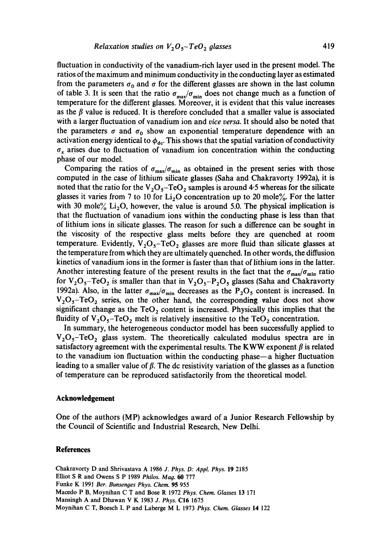fluctuation in conductivity of the vanadium-rich layer used in the present model. The ratios of the maximum and minimum conductivity in the conducting layer as estimated from the parameters  $\sigma_0$  and  $\sigma$  for the different glasses are shown in the last column of table 3. It is seen that the ratio  $\sigma_{\text{max}}/\sigma_{\text{min}}$  does not change much as a function of temperature for the different glasses. Moreover, it is evident that this value increases as the  $\beta$  value is reduced. It is therefore concluded that a smaller value is associated with a larger fluctuation of vanadium ion and *vice versa.* It should also be noted that the parameters  $\sigma$  and  $\sigma_0$  show an exponential temperature dependence with an activation energy identical to  $\phi_{dc}$ . This shows that the spatial variation of conductivity  $\sigma_x$  arises due to fluctuation of vanadium ion concentration within the conducting phase of our model.

Comparing the ratios of  $\sigma_{\text{max}}/\sigma_{\text{min}}$  as obtained in the present series with those computed in the case of lithium silicate glasses (Saha and Chakravorty 1992a), it is noted that the ratio for the  $V_2O_5$ -TeO<sub>2</sub> samples is around 4.5 whereas for the silicate glasses it varies from 7 to 10 for  $Li<sub>2</sub>O$  concentration up to 20 mole%. For the latter with 30 mole%  $Li<sub>2</sub>O$ , however, the value is around 5.0. The physical implication is that the fluctuation of vanadium ions within the conducting phase is less than that of lithium ions in silicate glasses. The reason for such a difference can be sought in the viscosity of the respective glass melts before they are quenched at room temperature. Evidently,  $V_2O_5$ -TeO<sub>2</sub> glasses are more fluid than silicate glasses at the temperature from which they are ultimately quenched. In other words, the diffusion kinetics of vanadium ions in the former is faster than that of lithium ions in the latter. Another interesting feature of the present results in the fact that the  $\sigma_{\text{max}}/\sigma_{\text{min}}$  ratio for  $V_2O_5$ -TeO<sub>2</sub> is smaller than that in  $V_2O_5-P_2O_5$  glasses (Saha and Chakravorty 1992a). Also, in the latter  $\sigma_{\text{max}}/\sigma_{\text{min}}$  decreases as the P<sub>2</sub>O<sub>5</sub> content is increased. In  $V_2O_5$ -TeO<sub>2</sub> series, on the other hand, the corresponding value does not show significant change as the  $TeO<sub>2</sub>$  content is increased. Physically this implies that the fluidity of  $V_2O_5$ -TeO<sub>2</sub> melt is relatively insensitive to the TeO<sub>2</sub> concentration.

In summary, the heterogeneous conductor model has been successfully applied to  $V_2O_5$ -TeO<sub>2</sub> glass system. The theoretically calculated modulus spectra are in satisfactory agreement with the experimental results. The KWW exponent  $\beta$  is related to the vanadium ion fluctuation within the conducting phase—a higher fluctuation leading to a smaller value of  $\beta$ . The de resistivity variation of the glasses as a function of temperature can be reproduced satisfactorily from the theoretical model.

#### **Acknowledgement**

One of the authors (MP) acknowledges award of a Junior Research Fellowship by the Council of Scientific and Industrial Research, New Delhi.

#### **References**

Chakravorty D and Shrivastava A 1986 *J. Phys. D: Appl. Phys.* 19 2185 Elliot S R and Owens S P 1989 *Philos. Mag. 60* 777 Funke K 1991 *Ber. Bunsenges Phys. Chem.* 95 955 Macedo P B, Moynihan C T and Bose R 1972 *Phys. Chem. Glasses* 13 171 Mansingh A and Dhawan V K 1983 *J. Phys.* C16 1675 Moynihan C T, Boesch L P and Laberge M L 1973 *Phys. Chem, Glasses* 14 122